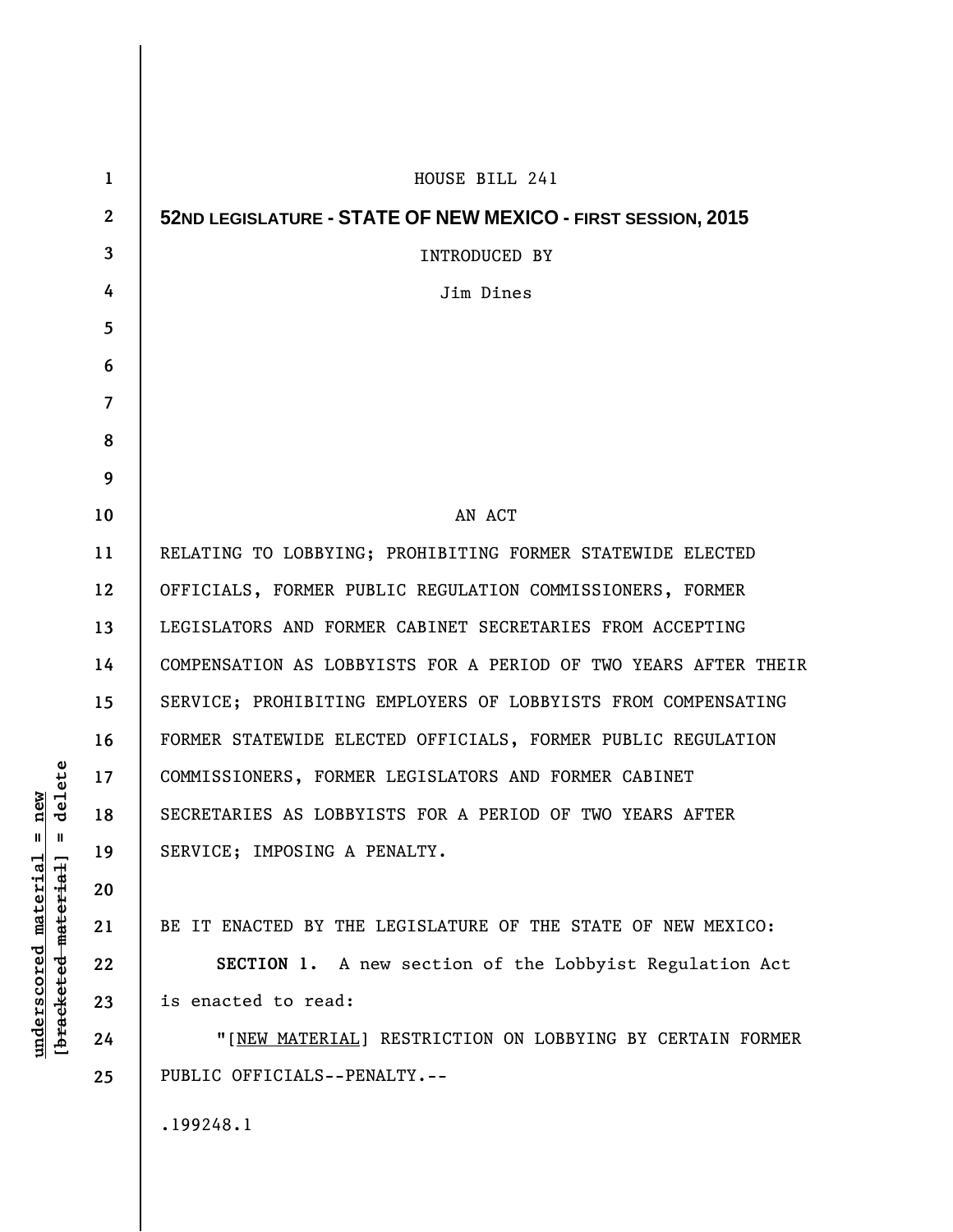| $\mathbf{1}$   | HOUSE BILL 241                                                  |
|----------------|-----------------------------------------------------------------|
| $\overline{2}$ | 52ND LEGISLATURE - STATE OF NEW MEXICO - FIRST SESSION, 2015    |
| 3              | <b>INTRODUCED BY</b>                                            |
| 4              | Jim Dines                                                       |
| 5              |                                                                 |
| 6              |                                                                 |
| 7              |                                                                 |
| 8              |                                                                 |
| 9              |                                                                 |
| 10             | AN ACT                                                          |
| 11             | RELATING TO LOBBYING; PROHIBITING FORMER STATEWIDE ELECTED      |
| 12             | OFFICIALS, FORMER PUBLIC REGULATION COMMISSIONERS, FORMER       |
| 13             | LEGISLATORS AND FORMER CABINET SECRETARIES FROM ACCEPTING       |
| 14             | COMPENSATION AS LOBBYISTS FOR A PERIOD OF TWO YEARS AFTER THEIR |
| 15             | SERVICE; PROHIBITING EMPLOYERS OF LOBBYISTS FROM COMPENSATING   |
| 16             | FORMER STATEWIDE ELECTED OFFICIALS, FORMER PUBLIC REGULATION    |
| 17             | COMMISSIONERS, FORMER LEGISLATORS AND FORMER CABINET            |
| 18             | SECRETARIES AS LOBBYISTS FOR A PERIOD OF TWO YEARS AFTER        |
| 19             | SERVICE; IMPOSING A PENALTY.                                    |
| 20             |                                                                 |
| 21             | BE IT ENACTED BY THE LEGISLATURE OF THE STATE OF NEW MEXICO:    |
| 22             | SECTION 1. A new section of the Lobbyist Regulation Act         |
| 23             | is enacted to read:                                             |
| 24             | "[NEW MATERIAL] RESTRICTION ON LOBBYING BY CERTAIN FORMER       |
| 25             | PUBLIC OFFICIALS--PENALTY.--                                    |
|                | .199248.1                                                       |

 $[**bracket eted metert et**] = **del et e**$ **[bracketed material] = delete**  $underscored material = new$ **underscored material = new**